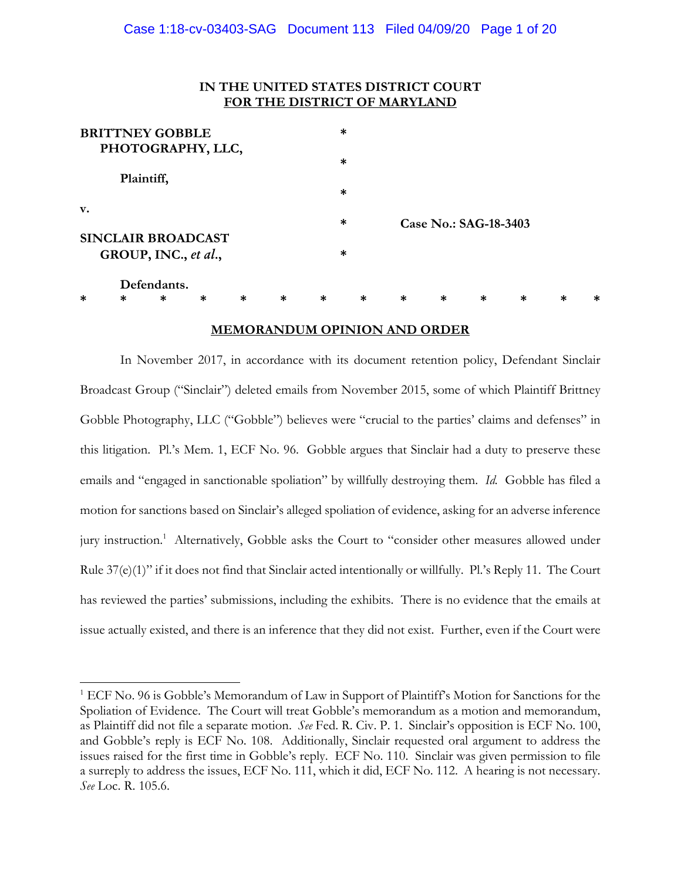# **IN THE UNITED STATES DISTRICT COURT FOR THE DISTRICT OF MARYLAND**

|                | <b>BRITTNEY GOBBLE</b>    |        |        |        | $\ast$ |        |        |                       |        |   |   |   |
|----------------|---------------------------|--------|--------|--------|--------|--------|--------|-----------------------|--------|---|---|---|
|                | PHOTOGRAPHY, LLC,         |        |        |        |        |        |        |                       |        |   |   |   |
|                |                           |        |        |        | $\ast$ |        |        |                       |        |   |   |   |
|                | Plaintiff,                |        |        |        |        |        |        |                       |        |   |   |   |
|                |                           |        |        |        | $\ast$ |        |        |                       |        |   |   |   |
| $\mathbf{v}$ . |                           |        |        |        |        |        |        |                       |        |   |   |   |
|                |                           |        |        |        | $\ast$ |        |        | Case No.: SAG-18-3403 |        |   |   |   |
|                | <b>SINCLAIR BROADCAST</b> |        |        |        |        |        |        |                       |        |   |   |   |
|                | GROUP, INC., et al.,      |        |        |        | $\ast$ |        |        |                       |        |   |   |   |
|                | Defendants.               |        |        |        |        |        |        |                       |        |   |   |   |
| *              | $\ast$<br>$\ast$          | $\ast$ | $\ast$ | $\ast$ | $\ast$ | $\ast$ | $\ast$ | $\ast$                | $\ast$ | ∗ | * | ∗ |

### **MEMORANDUM OPINION AND ORDER**

In November 2017, in accordance with its document retention policy, Defendant Sinclair Broadcast Group ("Sinclair") deleted emails from November 2015, some of which Plaintiff Brittney Gobble Photography, LLC ("Gobble") believes were "crucial to the parties' claims and defenses" in this litigation. Pl.'s Mem. 1, ECF No. 96. Gobble argues that Sinclair had a duty to preserve these emails and "engaged in sanctionable spoliation" by willfully destroying them. *Id.* Gobble has filed a motion for sanctions based on Sinclair's alleged spoliation of evidence, asking for an adverse inference jury instruction.<sup>1</sup> Alternatively, Gobble asks the Court to "consider other measures allowed under Rule 37(e)(1)" if it does not find that Sinclair acted intentionally or willfully. Pl.'s Reply 11. The Court has reviewed the parties' submissions, including the exhibits. There is no evidence that the emails at issue actually existed, and there is an inference that they did not exist. Further, even if the Court were

<sup>&</sup>lt;sup>1</sup> ECF No. 96 is Gobble's Memorandum of Law in Support of Plaintiff's Motion for Sanctions for the Spoliation of Evidence. The Court will treat Gobble's memorandum as a motion and memorandum, as Plaintiff did not file a separate motion. *See* Fed. R. Civ. P. 1. Sinclair's opposition is ECF No. 100, and Gobble's reply is ECF No. 108. Additionally, Sinclair requested oral argument to address the issues raised for the first time in Gobble's reply. ECF No. 110. Sinclair was given permission to file a surreply to address the issues, ECF No. 111, which it did, ECF No. 112. A hearing is not necessary. *See* Loc. R. 105.6.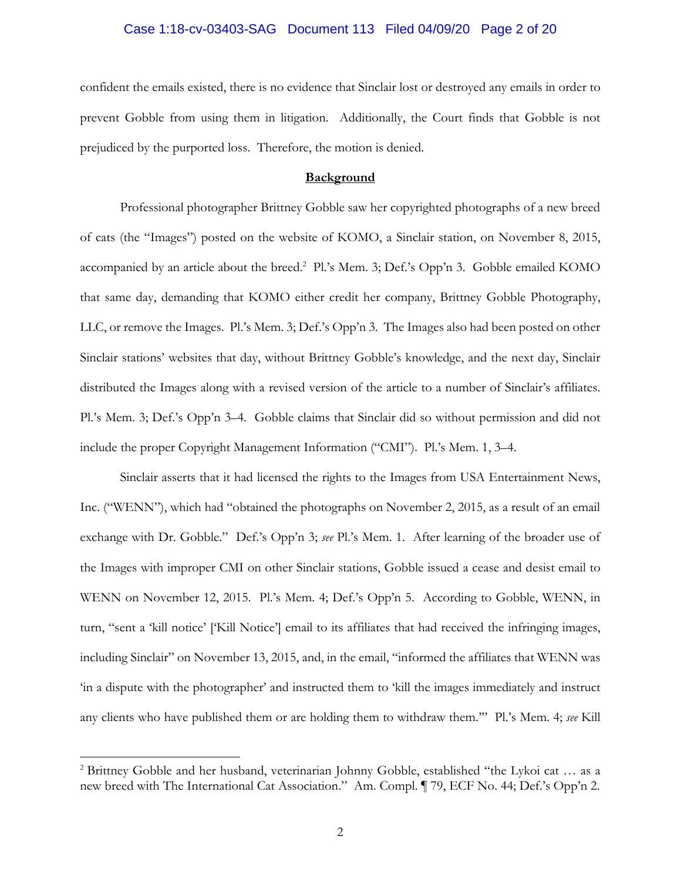### Case 1:18-cv-03403-SAG Document 113 Filed 04/09/20 Page 2 of 20

confident the emails existed, there is no evidence that Sinclair lost or destroyed any emails in order to prevent Gobble from using them in litigation. Additionally, the Court finds that Gobble is not prejudiced by the purported loss. Therefore, the motion is denied.

#### **Background**

Professional photographer Brittney Gobble saw her copyrighted photographs of a new breed of cats (the "Images") posted on the website of KOMO, a Sinclair station, on November 8, 2015, accompanied by an article about the breed.<sup>2</sup> Pl.'s Mem. 3; Def.'s Opp'n 3. Gobble emailed KOMO that same day, demanding that KOMO either credit her company, Brittney Gobble Photography, LLC, or remove the Images. Pl.'s Mem. 3; Def.'s Opp'n 3. The Images also had been posted on other Sinclair stations' websites that day, without Brittney Gobble's knowledge, and the next day, Sinclair distributed the Images along with a revised version of the article to a number of Sinclair's affiliates. Pl.'s Mem. 3; Def.'s Opp'n 3–4. Gobble claims that Sinclair did so without permission and did not include the proper Copyright Management Information ("CMI"). Pl.'s Mem. 1, 3–4.

Sinclair asserts that it had licensed the rights to the Images from USA Entertainment News, Inc. ("WENN"), which had "obtained the photographs on November 2, 2015, as a result of an email exchange with Dr. Gobble." Def.'s Opp'n 3; *see* Pl.'s Mem. 1. After learning of the broader use of the Images with improper CMI on other Sinclair stations, Gobble issued a cease and desist email to WENN on November 12, 2015. Pl.'s Mem. 4; Def.'s Opp'n 5. According to Gobble, WENN, in turn, "sent a 'kill notice' ['Kill Notice'] email to its affiliates that had received the infringing images, including Sinclair" on November 13, 2015, and, in the email, "informed the affiliates that WENN was 'in a dispute with the photographer' and instructed them to 'kill the images immediately and instruct any clients who have published them or are holding them to withdraw them.'" Pl.'s Mem. 4; *see* Kill

<sup>&</sup>lt;sup>2</sup> Brittney Gobble and her husband, veterinarian Johnny Gobble, established "the Lykoi cat ... as a new breed with The International Cat Association." Am. Compl. ¶ 79, ECF No. 44; Def.'s Opp'n 2.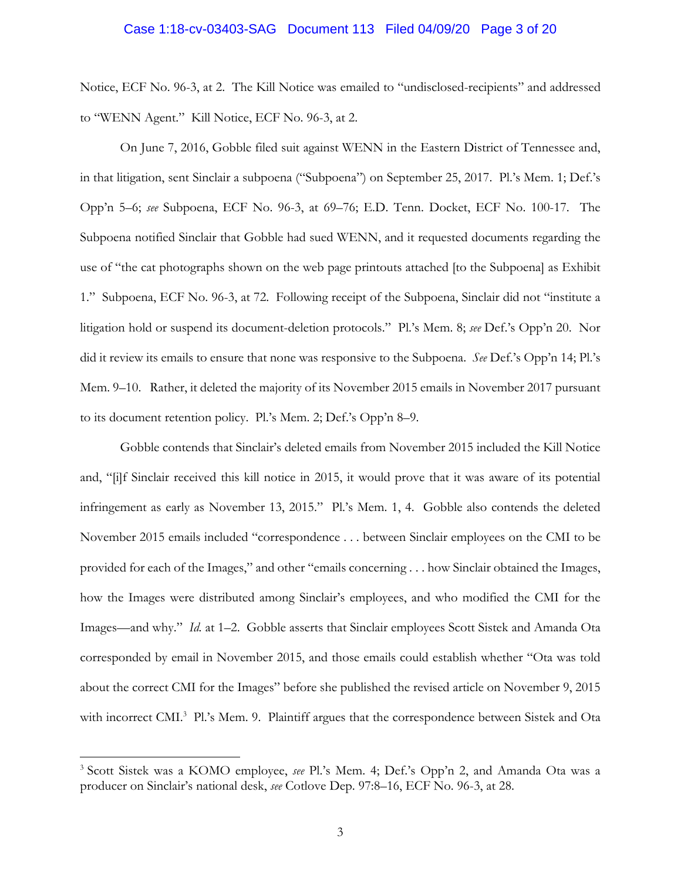### Case 1:18-cv-03403-SAG Document 113 Filed 04/09/20 Page 3 of 20

Notice, ECF No. 96-3, at 2. The Kill Notice was emailed to "undisclosed-recipients" and addressed to "WENN Agent." Kill Notice, ECF No. 96-3, at 2.

On June 7, 2016, Gobble filed suit against WENN in the Eastern District of Tennessee and, in that litigation, sent Sinclair a subpoena ("Subpoena") on September 25, 2017. Pl.'s Mem. 1; Def.'s Opp'n 5–6; *see* Subpoena, ECF No. 96-3, at 69–76; E.D. Tenn. Docket, ECF No. 100-17. The Subpoena notified Sinclair that Gobble had sued WENN, and it requested documents regarding the use of "the cat photographs shown on the web page printouts attached [to the Subpoena] as Exhibit 1." Subpoena, ECF No. 96-3, at 72. Following receipt of the Subpoena, Sinclair did not "institute a litigation hold or suspend its document-deletion protocols." Pl.'s Mem. 8; *see* Def.'s Opp'n 20. Nor did it review its emails to ensure that none was responsive to the Subpoena. *See* Def.'s Opp'n 14; Pl.'s Mem. 9–10. Rather, it deleted the majority of its November 2015 emails in November 2017 pursuant to its document retention policy. Pl.'s Mem. 2; Def.'s Opp'n 8–9.

Gobble contends that Sinclair's deleted emails from November 2015 included the Kill Notice and, "[i]f Sinclair received this kill notice in 2015, it would prove that it was aware of its potential infringement as early as November 13, 2015." Pl.'s Mem. 1, 4. Gobble also contends the deleted November 2015 emails included "correspondence . . . between Sinclair employees on the CMI to be provided for each of the Images," and other "emails concerning . . . how Sinclair obtained the Images, how the Images were distributed among Sinclair's employees, and who modified the CMI for the Images—and why." *Id.* at 1–2. Gobble asserts that Sinclair employees Scott Sistek and Amanda Ota corresponded by email in November 2015, and those emails could establish whether "Ota was told about the correct CMI for the Images" before she published the revised article on November 9, 2015 with incorrect CMI.<sup>3</sup> Pl.'s Mem. 9. Plaintiff argues that the correspondence between Sistek and Ota

<sup>3</sup> Scott Sistek was a KOMO employee, *see* Pl.'s Mem. 4; Def.'s Opp'n 2, and Amanda Ota was a producer on Sinclair's national desk, *see* Cotlove Dep. 97:8–16, ECF No. 96-3, at 28.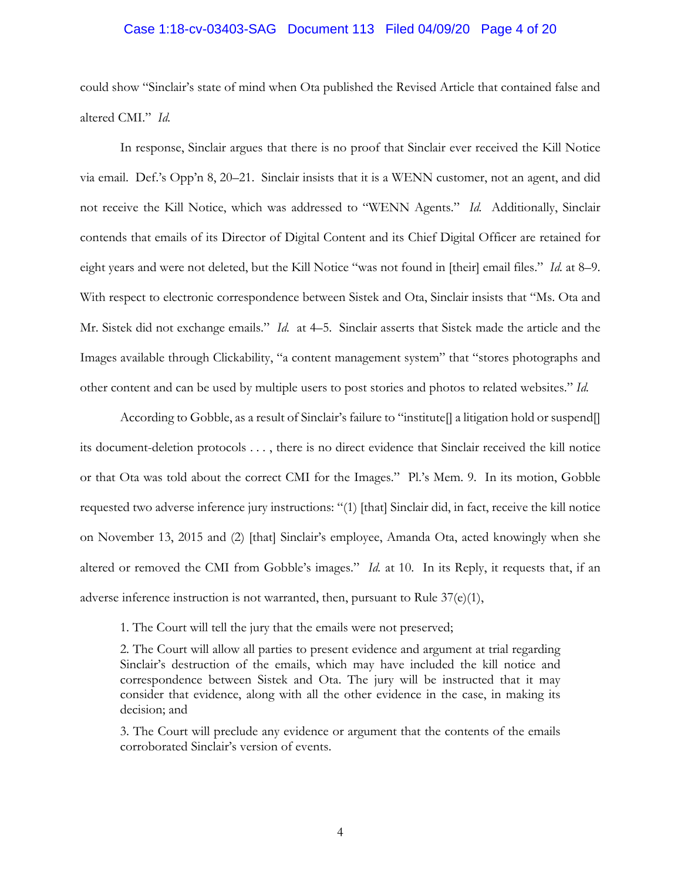# Case 1:18-cv-03403-SAG Document 113 Filed 04/09/20 Page 4 of 20

could show "Sinclair's state of mind when Ota published the Revised Article that contained false and altered CMI." *Id.*

In response, Sinclair argues that there is no proof that Sinclair ever received the Kill Notice via email. Def.'s Opp'n 8, 20–21. Sinclair insists that it is a WENN customer, not an agent, and did not receive the Kill Notice, which was addressed to "WENN Agents." *Id.* Additionally, Sinclair contends that emails of its Director of Digital Content and its Chief Digital Officer are retained for eight years and were not deleted, but the Kill Notice "was not found in [their] email files." *Id.* at 8–9. With respect to electronic correspondence between Sistek and Ota, Sinclair insists that "Ms. Ota and Mr. Sistek did not exchange emails." *Id.* at 4–5. Sinclair asserts that Sistek made the article and the Images available through Clickability, "a content management system" that "stores photographs and other content and can be used by multiple users to post stories and photos to related websites." *Id.* 

According to Gobble, as a result of Sinclair's failure to "institute] a litigation hold or suspend its document-deletion protocols . . . , there is no direct evidence that Sinclair received the kill notice or that Ota was told about the correct CMI for the Images." Pl.'s Mem. 9. In its motion, Gobble requested two adverse inference jury instructions: "(1) [that] Sinclair did, in fact, receive the kill notice on November 13, 2015 and (2) [that] Sinclair's employee, Amanda Ota, acted knowingly when she altered or removed the CMI from Gobble's images." *Id.* at 10. In its Reply, it requests that, if an adverse inference instruction is not warranted, then, pursuant to Rule 37(e)(1),

1. The Court will tell the jury that the emails were not preserved;

2. The Court will allow all parties to present evidence and argument at trial regarding Sinclair's destruction of the emails, which may have included the kill notice and correspondence between Sistek and Ota. The jury will be instructed that it may consider that evidence, along with all the other evidence in the case, in making its decision; and

3. The Court will preclude any evidence or argument that the contents of the emails corroborated Sinclair's version of events.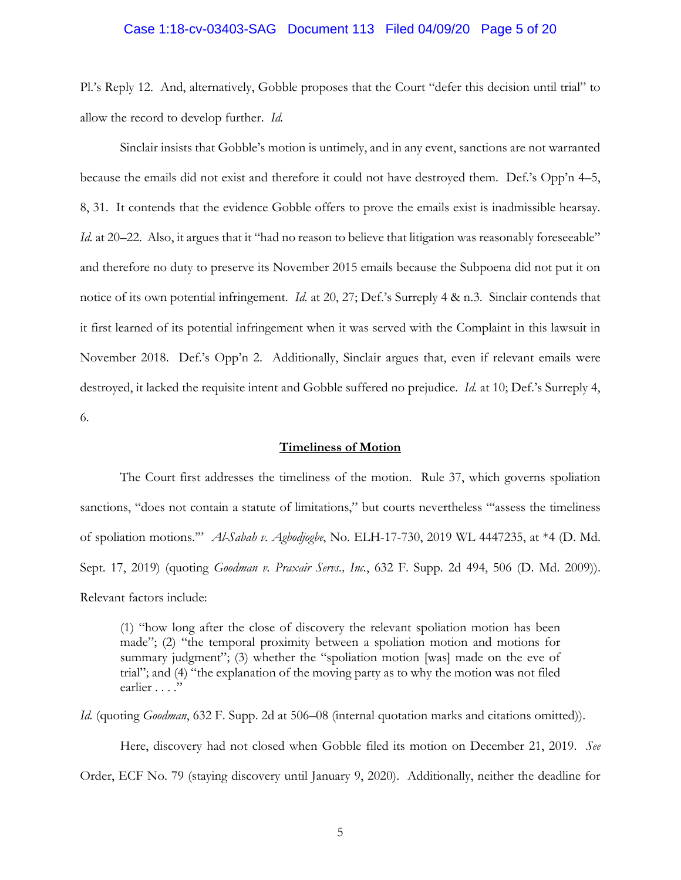### Case 1:18-cv-03403-SAG Document 113 Filed 04/09/20 Page 5 of 20

Pl.'s Reply 12. And, alternatively, Gobble proposes that the Court "defer this decision until trial" to allow the record to develop further. *Id.* 

Sinclair insists that Gobble's motion is untimely, and in any event, sanctions are not warranted because the emails did not exist and therefore it could not have destroyed them. Def.'s Opp'n 4–5, 8, 31. It contends that the evidence Gobble offers to prove the emails exist is inadmissible hearsay. *Id.* at 20–22. Also, it argues that it "had no reason to believe that litigation was reasonably foreseeable" and therefore no duty to preserve its November 2015 emails because the Subpoena did not put it on notice of its own potential infringement. *Id.* at 20, 27; Def.'s Surreply 4 & n.3. Sinclair contends that it first learned of its potential infringement when it was served with the Complaint in this lawsuit in November 2018. Def.'s Opp'n 2. Additionally, Sinclair argues that, even if relevant emails were destroyed, it lacked the requisite intent and Gobble suffered no prejudice. *Id.* at 10; Def.'s Surreply 4, 6.

### **Timeliness of Motion**

The Court first addresses the timeliness of the motion. Rule 37, which governs spoliation sanctions, "does not contain a statute of limitations," but courts nevertheless "'assess the timeliness of spoliation motions.'" *Al-Sabah v. Agbodjogbe*, No. ELH-17-730, 2019 WL 4447235, at \*4 (D. Md. Sept. 17, 2019) (quoting *Goodman v. Praxair Servs., Inc.*, 632 F. Supp. 2d 494, 506 (D. Md. 2009)). Relevant factors include:

(1) "how long after the close of discovery the relevant spoliation motion has been made"; (2) "the temporal proximity between a spoliation motion and motions for summary judgment"; (3) whether the "spoliation motion [was] made on the eve of trial"; and (4) "the explanation of the moving party as to why the motion was not filed earlier . . . ."

*Id.* (quoting *Goodman*, 632 F. Supp. 2d at 506–08 (internal quotation marks and citations omitted)).

Here, discovery had not closed when Gobble filed its motion on December 21, 2019. *See* Order, ECF No. 79 (staying discovery until January 9, 2020). Additionally, neither the deadline for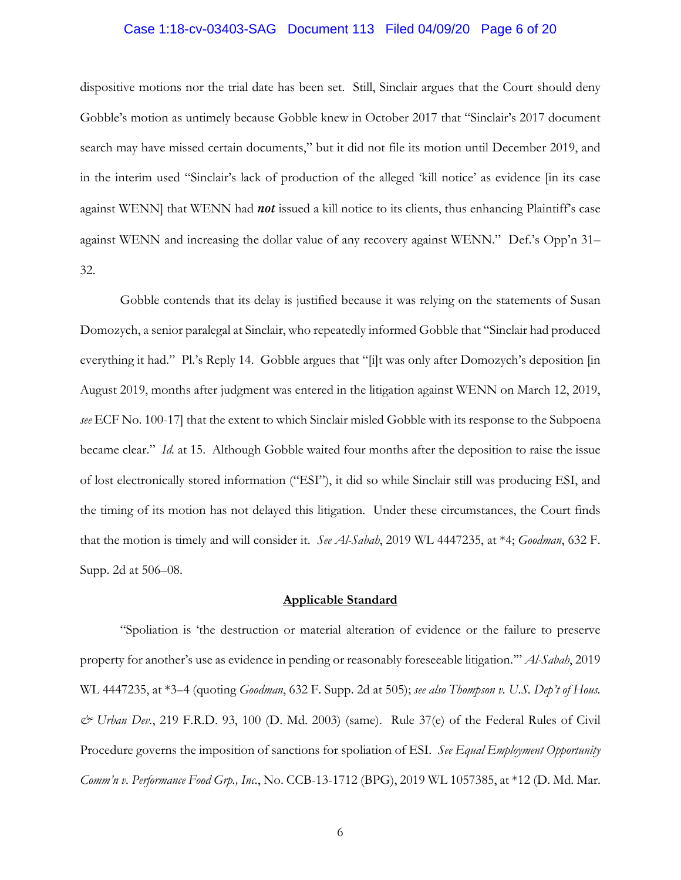### Case 1:18-cv-03403-SAG Document 113 Filed 04/09/20 Page 6 of 20

dispositive motions nor the trial date has been set. Still, Sinclair argues that the Court should deny Gobble's motion as untimely because Gobble knew in October 2017 that "Sinclair's 2017 document search may have missed certain documents," but it did not file its motion until December 2019, and in the interim used "Sinclair's lack of production of the alleged 'kill notice' as evidence [in its case against WENN] that WENN had *not* issued a kill notice to its clients, thus enhancing Plaintiff's case against WENN and increasing the dollar value of any recovery against WENN." Def.'s Opp'n 31– 32.

Gobble contends that its delay is justified because it was relying on the statements of Susan Domozych, a senior paralegal at Sinclair, who repeatedly informed Gobble that "Sinclair had produced everything it had." Pl.'s Reply 14. Gobble argues that "[i]t was only after Domozych's deposition [in August 2019, months after judgment was entered in the litigation against WENN on March 12, 2019, *see* ECF No. 100-17] that the extent to which Sinclair misled Gobble with its response to the Subpoena became clear." *Id.* at 15. Although Gobble waited four months after the deposition to raise the issue of lost electronically stored information ("ESI"), it did so while Sinclair still was producing ESI, and the timing of its motion has not delayed this litigation. Under these circumstances, the Court finds that the motion is timely and will consider it. *See Al-Sabah*, 2019 WL 4447235, at \*4; *Goodman*, 632 F. Supp. 2d at 506–08.

### **Applicable Standard**

"Spoliation is 'the destruction or material alteration of evidence or the failure to preserve property for another's use as evidence in pending or reasonably foreseeable litigation.'" *Al-Sabah*, 2019 WL 4447235, at \*3–4 (quoting *Goodman*, 632 F. Supp. 2d at 505); *see also Thompson v. U.S. Dep't of Hous. & Urban Dev.*, 219 F.R.D. 93, 100 (D. Md. 2003) (same). Rule 37(e) of the Federal Rules of Civil Procedure governs the imposition of sanctions for spoliation of ESI. *See Equal Employment Opportunity Comm'n v. Performance Food Grp., Inc.*, No. CCB-13-1712 (BPG), 2019 WL 1057385, at \*12 (D. Md. Mar.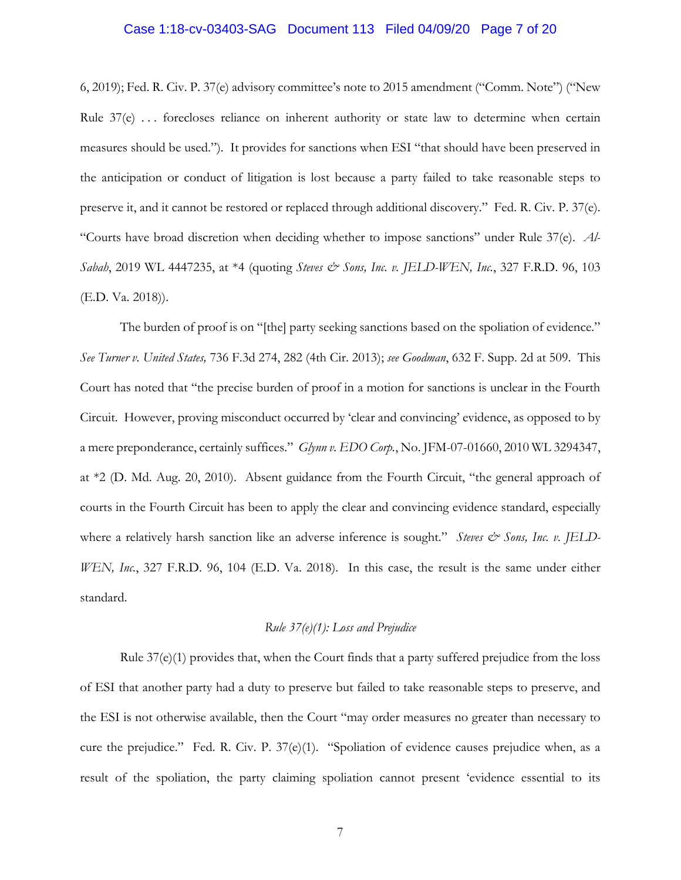### Case 1:18-cv-03403-SAG Document 113 Filed 04/09/20 Page 7 of 20

6, 2019); Fed. R. Civ. P. 37(e) advisory committee's note to 2015 amendment ("Comm. Note") ("New Rule 37(e) . . . forecloses reliance on inherent authority or state law to determine when certain measures should be used."). It provides for sanctions when ESI "that should have been preserved in the anticipation or conduct of litigation is lost because a party failed to take reasonable steps to preserve it, and it cannot be restored or replaced through additional discovery." Fed. R. Civ. P. 37(e). "Courts have broad discretion when deciding whether to impose sanctions" under Rule 37(e). *Al-Sabah*, 2019 WL 4447235, at \*4 (quoting *Steves & Sons, Inc. v. JELD-WEN, Inc.*, 327 F.R.D. 96, 103 (E.D. Va. 2018)).

The burden of proof is on "[the] party seeking sanctions based on the spoliation of evidence." *See Turner v. United States,* 736 F.3d 274, 282 (4th Cir. 2013); *see Goodman*, 632 F. Supp. 2d at 509. This Court has noted that "the precise burden of proof in a motion for sanctions is unclear in the Fourth Circuit. However, proving misconduct occurred by 'clear and convincing' evidence, as opposed to by a mere preponderance, certainly suffices." *Glynn v. EDO Corp.*, No. JFM-07-01660, 2010 WL 3294347, at \*2 (D. Md. Aug. 20, 2010). Absent guidance from the Fourth Circuit, "the general approach of courts in the Fourth Circuit has been to apply the clear and convincing evidence standard, especially where a relatively harsh sanction like an adverse inference is sought." Steves  $\mathcal{O}$  Sons, Inc. v. JELD-*WEN, Inc.*, 327 F.R.D. 96, 104 (E.D. Va. 2018). In this case, the result is the same under either standard.

#### *Rule 37(e)(1): Loss and Prejudice*

Rule  $37(e)(1)$  provides that, when the Court finds that a party suffered prejudice from the loss of ESI that another party had a duty to preserve but failed to take reasonable steps to preserve, and the ESI is not otherwise available, then the Court "may order measures no greater than necessary to cure the prejudice." Fed. R. Civ. P. 37(e)(1). "Spoliation of evidence causes prejudice when, as a result of the spoliation, the party claiming spoliation cannot present 'evidence essential to its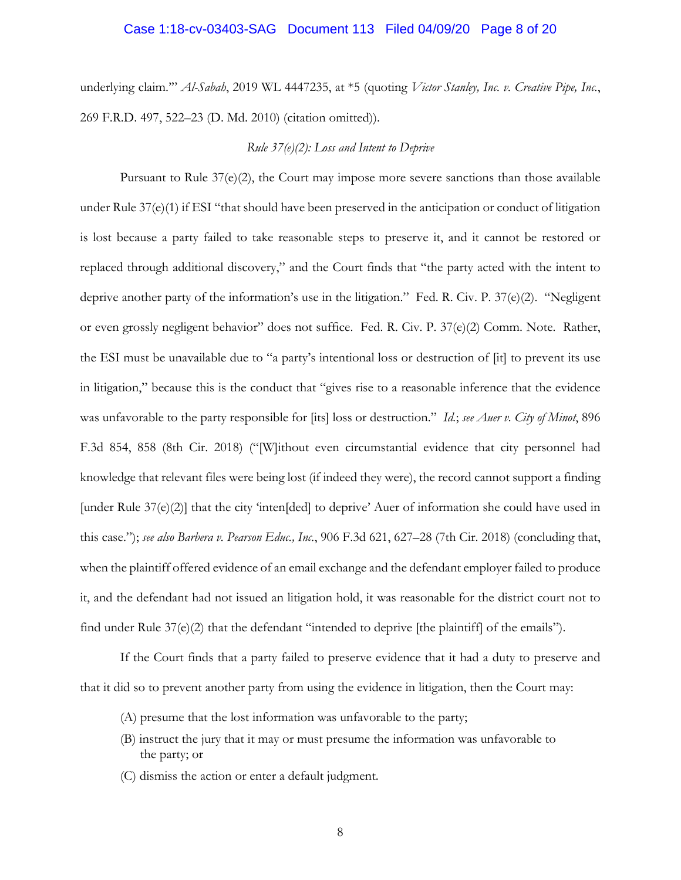#### Case 1:18-cv-03403-SAG Document 113 Filed 04/09/20 Page 8 of 20

underlying claim.'" *Al-Sabah*, 2019 WL 4447235, at \*5 (quoting *Victor Stanley, Inc. v. Creative Pipe, Inc.*, 269 F.R.D. 497, 522–23 (D. Md. 2010) (citation omitted)).

#### *Rule 37(e)(2): Loss and Intent to Deprive*

Pursuant to Rule  $37(e)(2)$ , the Court may impose more severe sanctions than those available under Rule 37(e)(1) if ESI "that should have been preserved in the anticipation or conduct of litigation is lost because a party failed to take reasonable steps to preserve it, and it cannot be restored or replaced through additional discovery," and the Court finds that "the party acted with the intent to deprive another party of the information's use in the litigation." Fed. R. Civ. P. 37(e)(2). "Negligent or even grossly negligent behavior" does not suffice. Fed. R. Civ. P. 37(e)(2) Comm. Note. Rather, the ESI must be unavailable due to "a party's intentional loss or destruction of [it] to prevent its use in litigation," because this is the conduct that "gives rise to a reasonable inference that the evidence was unfavorable to the party responsible for [its] loss or destruction." *Id.*; *see Auer v. City of Minot*, 896 F.3d 854, 858 (8th Cir. 2018) ("[W]ithout even circumstantial evidence that city personnel had knowledge that relevant files were being lost (if indeed they were), the record cannot support a finding [under Rule 37(e)(2)] that the city 'inten[ded] to deprive' Auer of information she could have used in this case."); *see also Barbera v. Pearson Educ., Inc.*, 906 F.3d 621, 627–28 (7th Cir. 2018) (concluding that, when the plaintiff offered evidence of an email exchange and the defendant employer failed to produce it, and the defendant had not issued an litigation hold, it was reasonable for the district court not to find under Rule 37(e)(2) that the defendant "intended to deprive [the plaintiff] of the emails").

If the Court finds that a party failed to preserve evidence that it had a duty to preserve and that it did so to prevent another party from using the evidence in litigation, then the Court may:

- (A) presume that the lost information was unfavorable to the party;
- (B) instruct the jury that it may or must presume the information was unfavorable to the party; or
- (C) dismiss the action or enter a default judgment.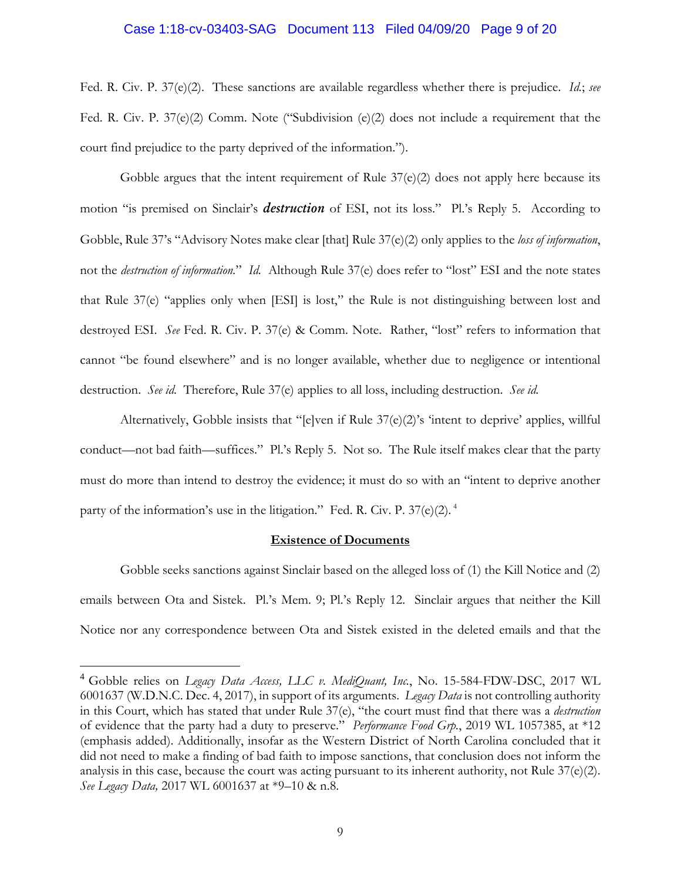#### Case 1:18-cv-03403-SAG Document 113 Filed 04/09/20 Page 9 of 20

Fed. R. Civ. P. 37(e)(2). These sanctions are available regardless whether there is prejudice. *Id.*; *see* Fed. R. Civ. P. 37(e)(2) Comm. Note ("Subdivision (e)(2) does not include a requirement that the court find prejudice to the party deprived of the information.").

Gobble argues that the intent requirement of Rule 37(e)(2) does not apply here because its motion "is premised on Sinclair's *destruction* of ESI, not its loss." Pl.'s Reply 5. According to Gobble, Rule 37's "Advisory Notes make clear [that] Rule 37(e)(2) only applies to the *loss of information*, not the *destruction of information.*" *Id.* Although Rule 37(e) does refer to "lost" ESI and the note states that Rule 37(e) "applies only when [ESI] is lost," the Rule is not distinguishing between lost and destroyed ESI. *See* Fed. R. Civ. P. 37(e) & Comm. Note. Rather, "lost" refers to information that cannot "be found elsewhere" and is no longer available, whether due to negligence or intentional destruction. *See id.* Therefore, Rule 37(e) applies to all loss, including destruction. *See id.* 

Alternatively, Gobble insists that "[e]ven if Rule 37(e)(2)'s 'intent to deprive' applies, willful conduct—not bad faith—suffices." Pl.'s Reply 5. Not so. The Rule itself makes clear that the party must do more than intend to destroy the evidence; it must do so with an "intent to deprive another party of the information's use in the litigation." Fed. R. Civ. P. 37(e)(2).<sup>4</sup>

#### **Existence of Documents**

Gobble seeks sanctions against Sinclair based on the alleged loss of (1) the Kill Notice and (2) emails between Ota and Sistek. Pl.'s Mem. 9; Pl.'s Reply 12. Sinclair argues that neither the Kill Notice nor any correspondence between Ota and Sistek existed in the deleted emails and that the

<sup>4</sup> Gobble relies on *Legacy Data Access, LLC v. MediQuant, Inc.*, No. 15-584-FDW-DSC, 2017 WL 6001637 (W.D.N.C. Dec. 4, 2017), in support of its arguments. *Legacy Data* is not controlling authority in this Court, which has stated that under Rule 37(e), "the court must find that there was a *destruction*  of evidence that the party had a duty to preserve." *Performance Food Grp.*, 2019 WL 1057385, at \*12 (emphasis added). Additionally, insofar as the Western District of North Carolina concluded that it did not need to make a finding of bad faith to impose sanctions, that conclusion does not inform the analysis in this case, because the court was acting pursuant to its inherent authority, not Rule 37(e)(2). *See Legacy Data,* 2017 WL 6001637 at \*9–10 & n.8.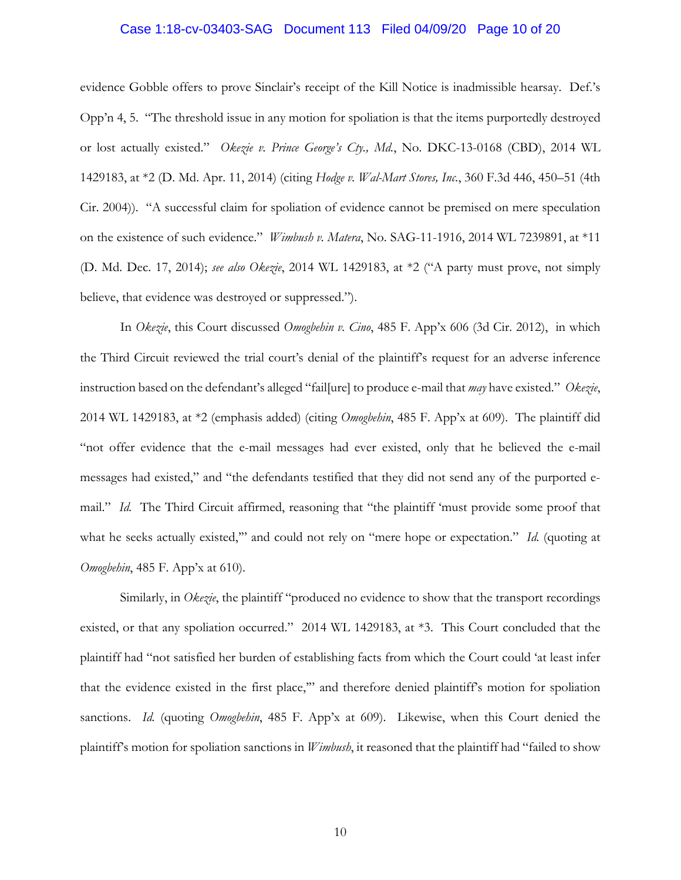### Case 1:18-cv-03403-SAG Document 113 Filed 04/09/20 Page 10 of 20

evidence Gobble offers to prove Sinclair's receipt of the Kill Notice is inadmissible hearsay. Def.'s Opp'n 4, 5. "The threshold issue in any motion for spoliation is that the items purportedly destroyed or lost actually existed." *Okezie v. Prince George's Cty., Md.*, No. DKC-13-0168 (CBD), 2014 WL 1429183, at \*2 (D. Md. Apr. 11, 2014) (citing *Hodge v. Wal-Mart Stores, Inc.*, 360 F.3d 446, 450–51 (4th Cir. 2004)). "A successful claim for spoliation of evidence cannot be premised on mere speculation on the existence of such evidence." *Wimbush v. Matera*, No. SAG-11-1916, 2014 WL 7239891, at \*11 (D. Md. Dec. 17, 2014); *see also Okezie*, 2014 WL 1429183, at \*2 ("A party must prove, not simply believe, that evidence was destroyed or suppressed.").

In *Okezie*, this Court discussed *Omogbehin v. Cino*, 485 F. App'x 606 (3d Cir. 2012), in which the Third Circuit reviewed the trial court's denial of the plaintiff's request for an adverse inference instruction based on the defendant's alleged "fail[ure] to produce e-mail that *may* have existed." *Okezie*, 2014 WL 1429183, at \*2 (emphasis added) (citing *Omogbehin*, 485 F. App'x at 609). The plaintiff did "not offer evidence that the e-mail messages had ever existed, only that he believed the e-mail messages had existed," and "the defendants testified that they did not send any of the purported email." *Id.* The Third Circuit affirmed, reasoning that "the plaintiff 'must provide some proof that what he seeks actually existed," and could not rely on "mere hope or expectation." *Id.* (quoting at *Omogbehin*, 485 F. App'x at 610).

Similarly, in *Okezie*, the plaintiff "produced no evidence to show that the transport recordings existed, or that any spoliation occurred." 2014 WL 1429183, at \*3. This Court concluded that the plaintiff had "not satisfied her burden of establishing facts from which the Court could 'at least infer that the evidence existed in the first place,'" and therefore denied plaintiff's motion for spoliation sanctions. *Id.* (quoting *Omogbehin*, 485 F. App'x at 609). Likewise, when this Court denied the plaintiff's motion for spoliation sanctions in *Wimbush*, it reasoned that the plaintiff had "failed to show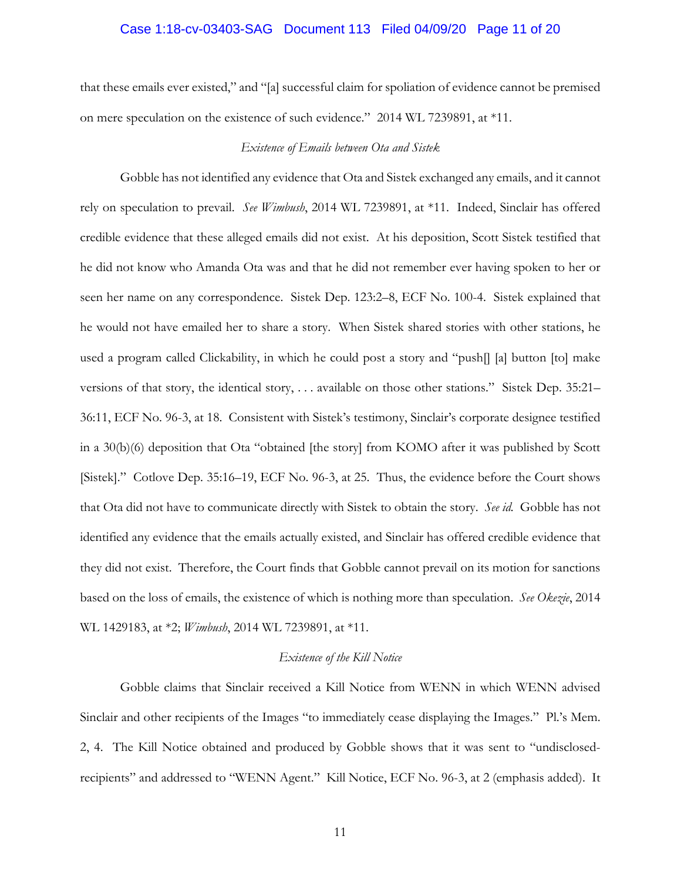### Case 1:18-cv-03403-SAG Document 113 Filed 04/09/20 Page 11 of 20

that these emails ever existed," and "[a] successful claim for spoliation of evidence cannot be premised on mere speculation on the existence of such evidence." 2014 WL 7239891, at \*11.

#### *Existence of Emails between Ota and Sistek*

Gobble has not identified any evidence that Ota and Sistek exchanged any emails, and it cannot rely on speculation to prevail. *See Wimbush*, 2014 WL 7239891, at \*11. Indeed, Sinclair has offered credible evidence that these alleged emails did not exist. At his deposition, Scott Sistek testified that he did not know who Amanda Ota was and that he did not remember ever having spoken to her or seen her name on any correspondence. Sistek Dep. 123:2–8, ECF No. 100-4. Sistek explained that he would not have emailed her to share a story. When Sistek shared stories with other stations, he used a program called Clickability, in which he could post a story and "push[] [a] button [to] make versions of that story, the identical story, . . . available on those other stations." Sistek Dep. 35:21– 36:11, ECF No. 96-3, at 18. Consistent with Sistek's testimony, Sinclair's corporate designee testified in a 30(b)(6) deposition that Ota "obtained [the story] from KOMO after it was published by Scott [Sistek]." Cotlove Dep. 35:16–19, ECF No. 96-3, at 25. Thus, the evidence before the Court shows that Ota did not have to communicate directly with Sistek to obtain the story. *See id.* Gobble has not identified any evidence that the emails actually existed, and Sinclair has offered credible evidence that they did not exist. Therefore, the Court finds that Gobble cannot prevail on its motion for sanctions based on the loss of emails, the existence of which is nothing more than speculation. *See Okezie*, 2014 WL 1429183, at \*2; *Wimbush*, 2014 WL 7239891, at \*11.

#### *Existence of the Kill Notice*

Gobble claims that Sinclair received a Kill Notice from WENN in which WENN advised Sinclair and other recipients of the Images "to immediately cease displaying the Images." Pl.'s Mem. 2, 4. The Kill Notice obtained and produced by Gobble shows that it was sent to "undisclosedrecipients" and addressed to "WENN Agent." Kill Notice, ECF No. 96-3, at 2 (emphasis added). It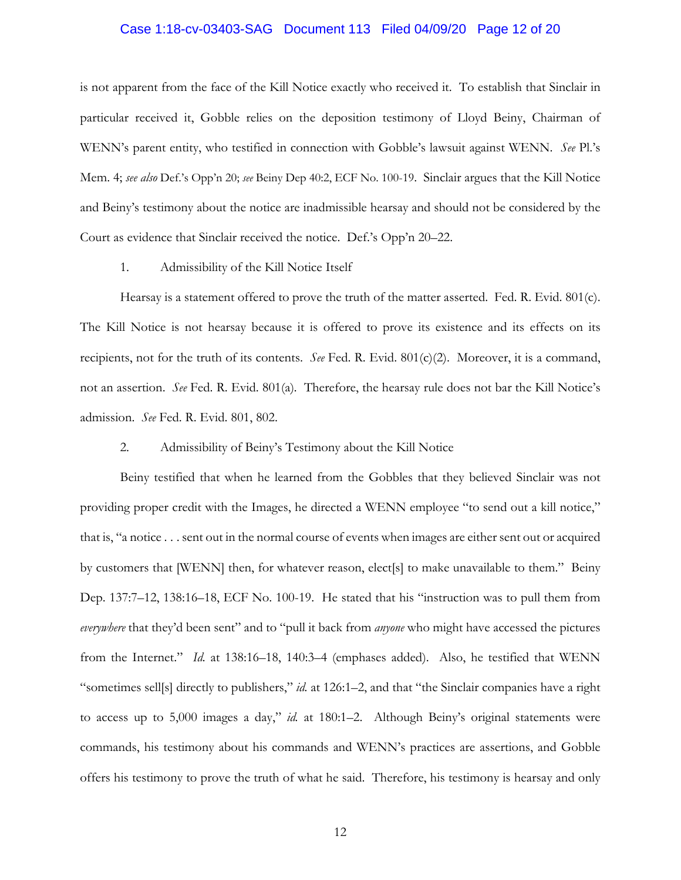### Case 1:18-cv-03403-SAG Document 113 Filed 04/09/20 Page 12 of 20

is not apparent from the face of the Kill Notice exactly who received it. To establish that Sinclair in particular received it, Gobble relies on the deposition testimony of Lloyd Beiny, Chairman of WENN's parent entity, who testified in connection with Gobble's lawsuit against WENN. *See* Pl.'s Mem. 4; *see also* Def.'s Opp'n 20; *see* Beiny Dep 40:2, ECF No. 100-19. Sinclair argues that the Kill Notice and Beiny's testimony about the notice are inadmissible hearsay and should not be considered by the Court as evidence that Sinclair received the notice. Def.'s Opp'n 20–22.

#### 1. Admissibility of the Kill Notice Itself

Hearsay is a statement offered to prove the truth of the matter asserted. Fed. R. Evid. 801(c). The Kill Notice is not hearsay because it is offered to prove its existence and its effects on its recipients, not for the truth of its contents. *See* Fed. R. Evid. 801(c)(2). Moreover, it is a command, not an assertion. *See* Fed. R. Evid. 801(a)*.* Therefore, the hearsay rule does not bar the Kill Notice's admission. *See* Fed. R. Evid. 801, 802.

#### 2. Admissibility of Beiny's Testimony about the Kill Notice

Beiny testified that when he learned from the Gobbles that they believed Sinclair was not providing proper credit with the Images, he directed a WENN employee "to send out a kill notice," that is, "a notice . . . sent out in the normal course of events when images are either sent out or acquired by customers that [WENN] then, for whatever reason, elect[s] to make unavailable to them." Beiny Dep. 137:7–12, 138:16–18, ECF No. 100-19. He stated that his "instruction was to pull them from *everywhere* that they'd been sent" and to "pull it back from *anyone* who might have accessed the pictures from the Internet." *Id.* at 138:16–18, 140:3–4 (emphases added). Also, he testified that WENN "sometimes sell[s] directly to publishers," *id.* at 126:1–2, and that "the Sinclair companies have a right to access up to 5,000 images a day," *id.* at 180:1–2. Although Beiny's original statements were commands, his testimony about his commands and WENN's practices are assertions, and Gobble offers his testimony to prove the truth of what he said. Therefore, his testimony is hearsay and only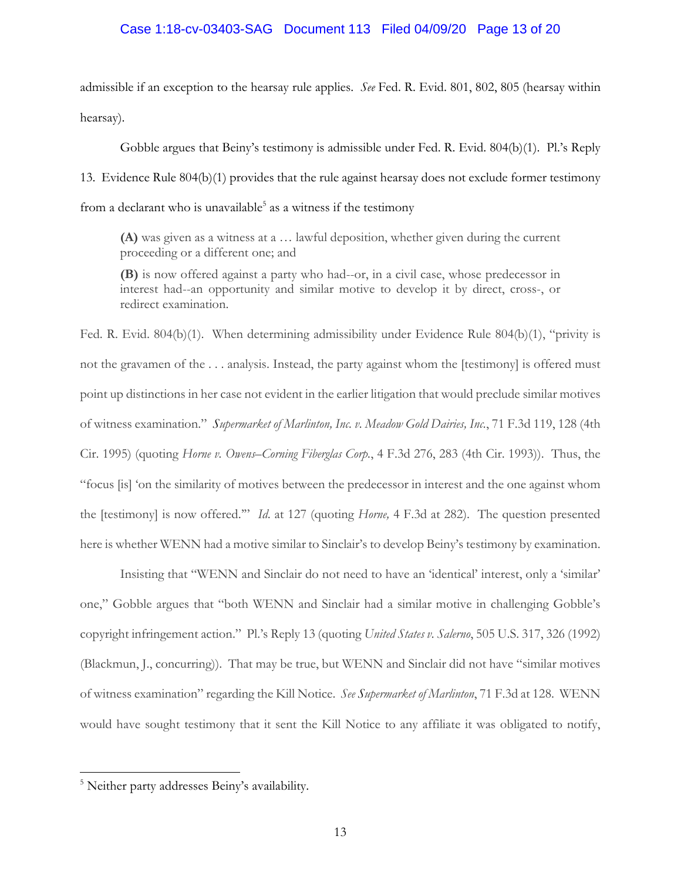### Case 1:18-cv-03403-SAG Document 113 Filed 04/09/20 Page 13 of 20

admissible if an exception to the hearsay rule applies. *See* Fed. R. Evid. 801, 802, 805 (hearsay within hearsay).

Gobble argues that Beiny's testimony is admissible under Fed. R. Evid. 804(b)(1). Pl.'s Reply 13. Evidence Rule 804(b)(1) provides that the rule against hearsay does not exclude former testimony from a declarant who is unavailable<sup>5</sup> as a witness if the testimony

**(A)** was given as a witness at a … lawful deposition, whether given during the current proceeding or a different one; and

**(B)** is now offered against a party who had--or, in a civil case, whose predecessor in interest had--an opportunity and similar motive to develop it by direct, cross-, or redirect examination.

Fed. R. Evid. 804(b)(1). When determining admissibility under Evidence Rule 804(b)(1), "privity is not the gravamen of the . . . analysis. Instead, the party against whom the [testimony] is offered must point up distinctions in her case not evident in the earlier litigation that would preclude similar motives of witness examination." *Supermarket of Marlinton, Inc. v. Meadow Gold Dairies, Inc.*, 71 F.3d 119, 128 (4th Cir. 1995) (quoting *Horne v. Owens–Corning Fiberglas Corp.*, 4 F.3d 276, 283 (4th Cir. 1993)). Thus, the "focus [is] 'on the similarity of motives between the predecessor in interest and the one against whom the [testimony] is now offered.'" *Id*. at 127 (quoting *Horne,* 4 F.3d at 282). The question presented here is whether WENN had a motive similar to Sinclair's to develop Beiny's testimony by examination.

Insisting that "WENN and Sinclair do not need to have an 'identical' interest, only a 'similar' one," Gobble argues that "both WENN and Sinclair had a similar motive in challenging Gobble's copyright infringement action." Pl.'s Reply 13 (quoting *United States v. Salerno*, 505 U.S. 317, 326 (1992) (Blackmun, J., concurring)). That may be true, but WENN and Sinclair did not have "similar motives of witness examination" regarding the Kill Notice. *See Supermarket of Marlinton*, 71 F.3d at 128. WENN would have sought testimony that it sent the Kill Notice to any affiliate it was obligated to notify,

<sup>5</sup> Neither party addresses Beiny's availability.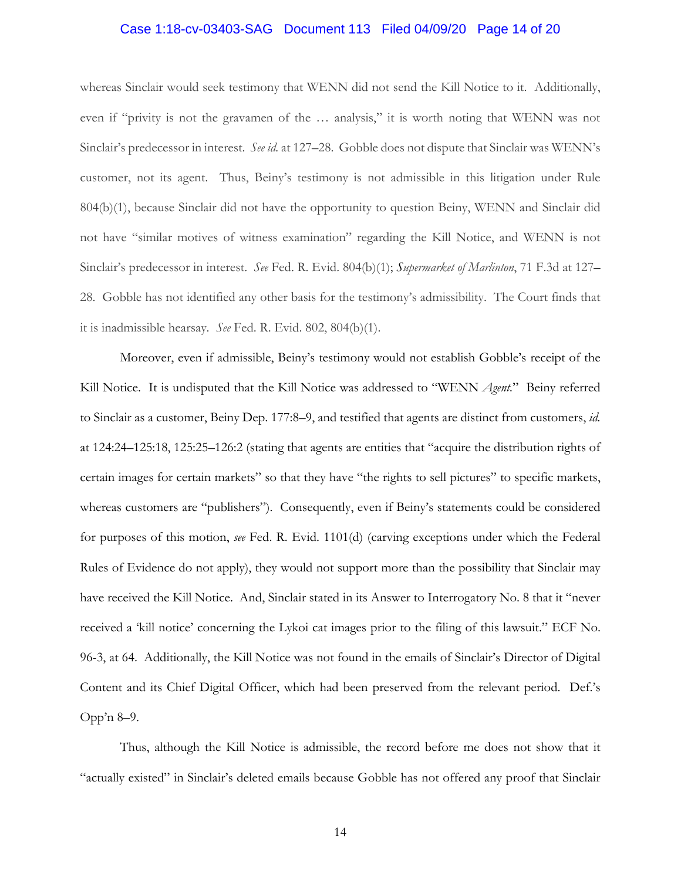### Case 1:18-cv-03403-SAG Document 113 Filed 04/09/20 Page 14 of 20

whereas Sinclair would seek testimony that WENN did not send the Kill Notice to it. Additionally, even if "privity is not the gravamen of the … analysis," it is worth noting that WENN was not Sinclair's predecessor in interest. *See id.* at 127–28. Gobble does not dispute that Sinclair was WENN's customer, not its agent. Thus, Beiny's testimony is not admissible in this litigation under Rule 804(b)(1), because Sinclair did not have the opportunity to question Beiny, WENN and Sinclair did not have "similar motives of witness examination" regarding the Kill Notice, and WENN is not Sinclair's predecessor in interest. *See* Fed. R. Evid. 804(b)(1); *Supermarket of Marlinton*, 71 F.3d at 127– 28. Gobble has not identified any other basis for the testimony's admissibility. The Court finds that it is inadmissible hearsay. *See* Fed. R. Evid. 802, 804(b)(1).

Moreover, even if admissible, Beiny's testimony would not establish Gobble's receipt of the Kill Notice. It is undisputed that the Kill Notice was addressed to "WENN *Agent.*" Beiny referred to Sinclair as a customer, Beiny Dep. 177:8–9, and testified that agents are distinct from customers, *id.*  at 124:24–125:18, 125:25–126:2 (stating that agents are entities that "acquire the distribution rights of certain images for certain markets" so that they have "the rights to sell pictures" to specific markets, whereas customers are "publishers"). Consequently, even if Beiny's statements could be considered for purposes of this motion, *see* Fed. R. Evid. 1101(d) (carving exceptions under which the Federal Rules of Evidence do not apply), they would not support more than the possibility that Sinclair may have received the Kill Notice. And, Sinclair stated in its Answer to Interrogatory No. 8 that it "never received a 'kill notice' concerning the Lykoi cat images prior to the filing of this lawsuit." ECF No. 96-3, at 64. Additionally, the Kill Notice was not found in the emails of Sinclair's Director of Digital Content and its Chief Digital Officer, which had been preserved from the relevant period. Def.'s Opp'n 8–9.

Thus, although the Kill Notice is admissible, the record before me does not show that it "actually existed" in Sinclair's deleted emails because Gobble has not offered any proof that Sinclair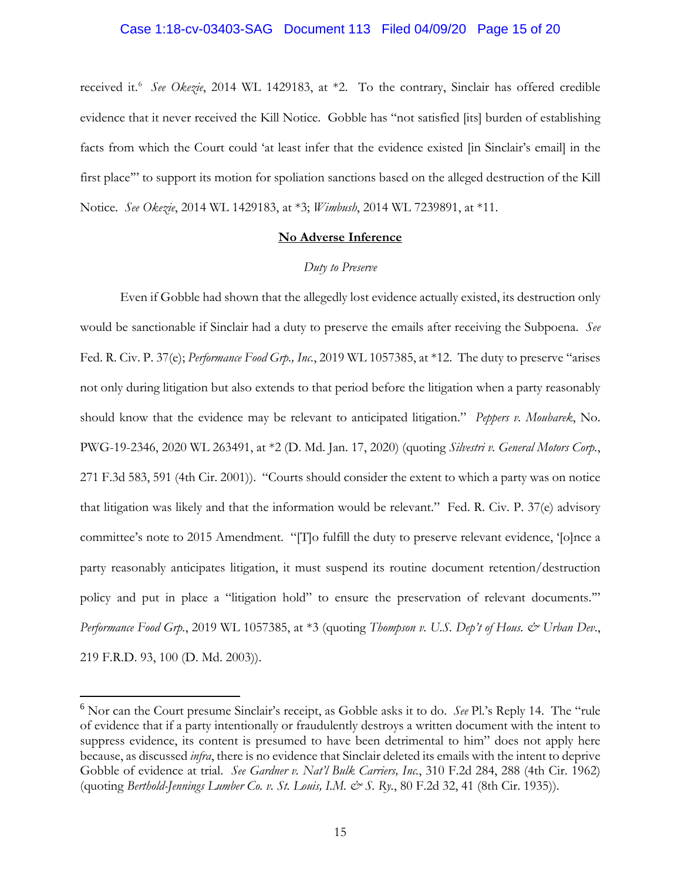### Case 1:18-cv-03403-SAG Document 113 Filed 04/09/20 Page 15 of 20

received it.<sup>6</sup> See Okezie, 2014 WL 1429183, at \*2. To the contrary, Sinclair has offered credible evidence that it never received the Kill Notice. Gobble has "not satisfied [its] burden of establishing facts from which the Court could 'at least infer that the evidence existed [in Sinclair's email] in the first place" to support its motion for spoliation sanctions based on the alleged destruction of the Kill Notice. *See Okezie*, 2014 WL 1429183, at \*3; *Wimbush*, 2014 WL 7239891, at \*11.

# **No Adverse Inference**

#### *Duty to Preserve*

Even if Gobble had shown that the allegedly lost evidence actually existed, its destruction only would be sanctionable if Sinclair had a duty to preserve the emails after receiving the Subpoena. *See*  Fed. R. Civ. P. 37(e); *Performance Food Grp., Inc.*, 2019 WL 1057385, at \*12. The duty to preserve "arises not only during litigation but also extends to that period before the litigation when a party reasonably should know that the evidence may be relevant to anticipated litigation." *Peppers v. Moubarek*, No. PWG-19-2346, 2020 WL 263491, at \*2 (D. Md. Jan. 17, 2020) (quoting *Silvestri v. General Motors Corp.*, 271 F.3d 583, 591 (4th Cir. 2001)). "Courts should consider the extent to which a party was on notice that litigation was likely and that the information would be relevant." Fed. R. Civ. P. 37(e) advisory committee's note to 2015 Amendment. "[T]o fulfill the duty to preserve relevant evidence, '[o]nce a party reasonably anticipates litigation, it must suspend its routine document retention/destruction policy and put in place a "litigation hold" to ensure the preservation of relevant documents.'" *Performance Food Grp.*, 2019 WL 1057385, at \*3 (quoting *Thompson v. U.S. Dep't of Hous. & Urban Dev*., 219 F.R.D. 93, 100 (D. Md. 2003)).

<sup>6</sup> Nor can the Court presume Sinclair's receipt, as Gobble asks it to do. *See* Pl.'s Reply 14. The "rule of evidence that if a party intentionally or fraudulently destroys a written document with the intent to suppress evidence, its content is presumed to have been detrimental to him" does not apply here because, as discussed *infra*, there is no evidence that Sinclair deleted its emails with the intent to deprive Gobble of evidence at trial. *See Gardner v. Nat'l Bulk Carriers, Inc.*, 310 F.2d 284, 288 (4th Cir. 1962) (quoting *Berthold-Jennings Lumber Co. v. St. Louis, I.M. & S. Ry.*, 80 F.2d 32, 41 (8th Cir. 1935)).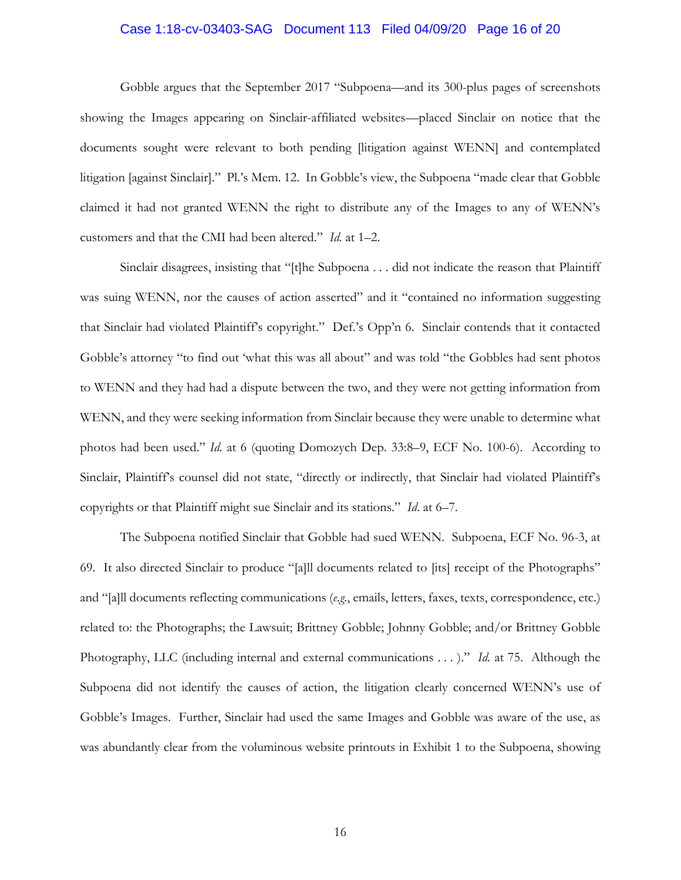### Case 1:18-cv-03403-SAG Document 113 Filed 04/09/20 Page 16 of 20

Gobble argues that the September 2017 "Subpoena—and its 300-plus pages of screenshots showing the Images appearing on Sinclair-affiliated websites—placed Sinclair on notice that the documents sought were relevant to both pending [litigation against WENN] and contemplated litigation [against Sinclair]." Pl.'s Mem. 12. In Gobble's view, the Subpoena "made clear that Gobble claimed it had not granted WENN the right to distribute any of the Images to any of WENN's customers and that the CMI had been altered." *Id.* at 1–2.

Sinclair disagrees, insisting that "[t]he Subpoena . . . did not indicate the reason that Plaintiff was suing WENN, nor the causes of action asserted" and it "contained no information suggesting that Sinclair had violated Plaintiff's copyright." Def.'s Opp'n 6. Sinclair contends that it contacted Gobble's attorney "to find out 'what this was all about" and was told "the Gobbles had sent photos to WENN and they had had a dispute between the two, and they were not getting information from WENN, and they were seeking information from Sinclair because they were unable to determine what photos had been used." *Id.* at 6 (quoting Domozych Dep. 33:8–9, ECF No. 100-6). According to Sinclair, Plaintiff's counsel did not state, "directly or indirectly, that Sinclair had violated Plaintiff's copyrights or that Plaintiff might sue Sinclair and its stations." *Id*. at 6–7.

The Subpoena notified Sinclair that Gobble had sued WENN. Subpoena, ECF No. 96-3, at 69. It also directed Sinclair to produce "[a]ll documents related to [its] receipt of the Photographs" and "[a]ll documents reflecting communications (*e.g.*, emails, letters, faxes, texts, correspondence, etc.) related to: the Photographs; the Lawsuit; Brittney Gobble; Johnny Gobble; and/or Brittney Gobble Photography, LLC (including internal and external communications . . . )." *Id.* at 75. Although the Subpoena did not identify the causes of action, the litigation clearly concerned WENN's use of Gobble's Images. Further, Sinclair had used the same Images and Gobble was aware of the use, as was abundantly clear from the voluminous website printouts in Exhibit 1 to the Subpoena, showing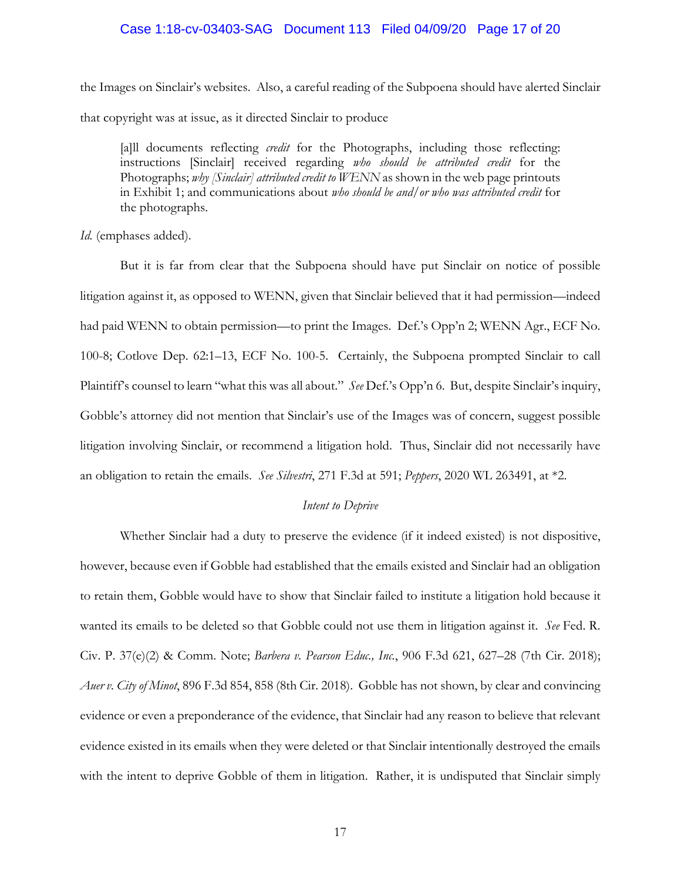### Case 1:18-cv-03403-SAG Document 113 Filed 04/09/20 Page 17 of 20

the Images on Sinclair's websites. Also, a careful reading of the Subpoena should have alerted Sinclair that copyright was at issue, as it directed Sinclair to produce

[a]ll documents reflecting *credit* for the Photographs, including those reflecting: instructions [Sinclair] received regarding *who should be attributed credit* for the Photographs; *why [Sinclair] attributed credit to WENN* as shown in the web page printouts in Exhibit 1; and communications about *who should be and/or who was attributed credit* for the photographs.

#### *Id.* (emphases added).

But it is far from clear that the Subpoena should have put Sinclair on notice of possible litigation against it, as opposed to WENN, given that Sinclair believed that it had permission—indeed had paid WENN to obtain permission—to print the Images. Def.'s Opp'n 2; WENN Agr., ECF No. 100-8; Cotlove Dep. 62:1–13, ECF No. 100-5. Certainly, the Subpoena prompted Sinclair to call Plaintiff's counsel to learn "what this was all about." *See* Def.'s Opp'n 6. But, despite Sinclair's inquiry, Gobble's attorney did not mention that Sinclair's use of the Images was of concern, suggest possible litigation involving Sinclair, or recommend a litigation hold. Thus, Sinclair did not necessarily have an obligation to retain the emails. *See Silvestri*, 271 F.3d at 591; *Peppers*, 2020 WL 263491, at \*2.

#### *Intent to Deprive*

Whether Sinclair had a duty to preserve the evidence (if it indeed existed) is not dispositive, however, because even if Gobble had established that the emails existed and Sinclair had an obligation to retain them, Gobble would have to show that Sinclair failed to institute a litigation hold because it wanted its emails to be deleted so that Gobble could not use them in litigation against it. *See* Fed. R. Civ. P. 37(e)(2) & Comm. Note; *Barbera v. Pearson Educ., Inc.*, 906 F.3d 621, 627–28 (7th Cir. 2018); *Auer v. City of Minot*, 896 F.3d 854, 858 (8th Cir. 2018). Gobble has not shown, by clear and convincing evidence or even a preponderance of the evidence, that Sinclair had any reason to believe that relevant evidence existed in its emails when they were deleted or that Sinclair intentionally destroyed the emails with the intent to deprive Gobble of them in litigation. Rather, it is undisputed that Sinclair simply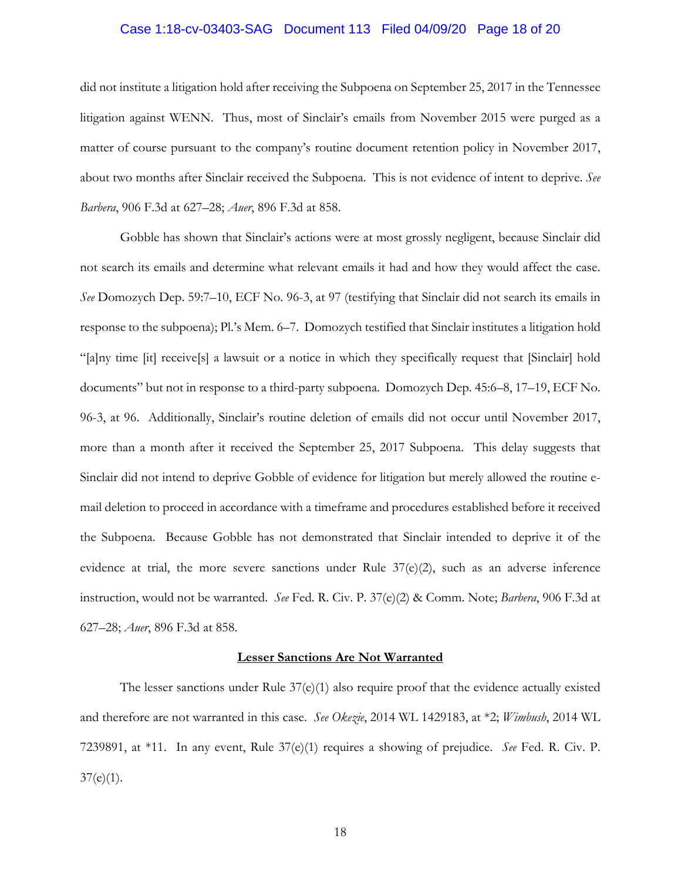### Case 1:18-cv-03403-SAG Document 113 Filed 04/09/20 Page 18 of 20

did not institute a litigation hold after receiving the Subpoena on September 25, 2017 in the Tennessee litigation against WENN. Thus, most of Sinclair's emails from November 2015 were purged as a matter of course pursuant to the company's routine document retention policy in November 2017, about two months after Sinclair received the Subpoena. This is not evidence of intent to deprive. *See Barbera*, 906 F.3d at 627–28; *Auer*, 896 F.3d at 858.

Gobble has shown that Sinclair's actions were at most grossly negligent, because Sinclair did not search its emails and determine what relevant emails it had and how they would affect the case. *See* Domozych Dep. 59:7–10, ECF No. 96-3, at 97 (testifying that Sinclair did not search its emails in response to the subpoena); Pl.'s Mem. 6–7. Domozych testified that Sinclair institutes a litigation hold "[a]ny time [it] receive[s] a lawsuit or a notice in which they specifically request that [Sinclair] hold documents" but not in response to a third-party subpoena. Domozych Dep. 45:6–8, 17–19, ECF No. 96-3, at 96. Additionally, Sinclair's routine deletion of emails did not occur until November 2017, more than a month after it received the September 25, 2017 Subpoena. This delay suggests that Sinclair did not intend to deprive Gobble of evidence for litigation but merely allowed the routine email deletion to proceed in accordance with a timeframe and procedures established before it received the Subpoena. Because Gobble has not demonstrated that Sinclair intended to deprive it of the evidence at trial, the more severe sanctions under Rule 37(e)(2), such as an adverse inference instruction, would not be warranted. *See* Fed. R. Civ. P. 37(e)(2) & Comm. Note; *Barbera*, 906 F.3d at 627–28; *Auer*, 896 F.3d at 858.

#### **Lesser Sanctions Are Not Warranted**

The lesser sanctions under Rule  $37(e)(1)$  also require proof that the evidence actually existed and therefore are not warranted in this case. *See Okezie*, 2014 WL 1429183, at \*2; *Wimbush*, 2014 WL 7239891, at \*11. In any event, Rule 37(e)(1) requires a showing of prejudice. *See* Fed. R. Civ. P.  $37(e)(1)$ .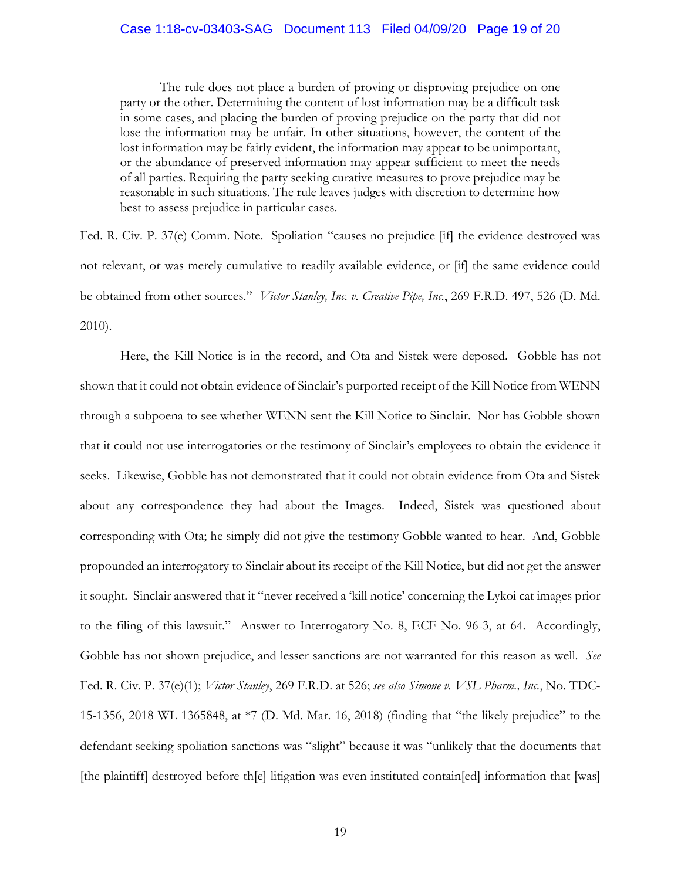### Case 1:18-cv-03403-SAG Document 113 Filed 04/09/20 Page 19 of 20

The rule does not place a burden of proving or disproving prejudice on one party or the other. Determining the content of lost information may be a difficult task in some cases, and placing the burden of proving prejudice on the party that did not lose the information may be unfair. In other situations, however, the content of the lost information may be fairly evident, the information may appear to be unimportant, or the abundance of preserved information may appear sufficient to meet the needs of all parties. Requiring the party seeking curative measures to prove prejudice may be reasonable in such situations. The rule leaves judges with discretion to determine how best to assess prejudice in particular cases.

Fed. R. Civ. P. 37(e) Comm. Note. Spoliation "causes no prejudice [if] the evidence destroyed was not relevant, or was merely cumulative to readily available evidence, or [if] the same evidence could be obtained from other sources." *Victor Stanley, Inc. v. Creative Pipe, Inc.*, 269 F.R.D. 497, 526 (D. Md. 2010).

Here, the Kill Notice is in the record, and Ota and Sistek were deposed. Gobble has not shown that it could not obtain evidence of Sinclair's purported receipt of the Kill Notice from WENN through a subpoena to see whether WENN sent the Kill Notice to Sinclair. Nor has Gobble shown that it could not use interrogatories or the testimony of Sinclair's employees to obtain the evidence it seeks. Likewise, Gobble has not demonstrated that it could not obtain evidence from Ota and Sistek about any correspondence they had about the Images. Indeed, Sistek was questioned about corresponding with Ota; he simply did not give the testimony Gobble wanted to hear. And, Gobble propounded an interrogatory to Sinclair about its receipt of the Kill Notice, but did not get the answer it sought. Sinclair answered that it "never received a 'kill notice' concerning the Lykoi cat images prior to the filing of this lawsuit." Answer to Interrogatory No. 8, ECF No. 96-3, at 64. Accordingly, Gobble has not shown prejudice, and lesser sanctions are not warranted for this reason as well. *See*  Fed. R. Civ. P. 37(e)(1); *Victor Stanley*, 269 F.R.D. at 526; *see also Simone v. VSL Pharm., Inc.*, No. TDC-15-1356, 2018 WL 1365848, at \*7 (D. Md. Mar. 16, 2018) (finding that "the likely prejudice" to the defendant seeking spoliation sanctions was "slight" because it was "unlikely that the documents that [the plaintiff] destroyed before th[e] litigation was even instituted contain[ed] information that [was]